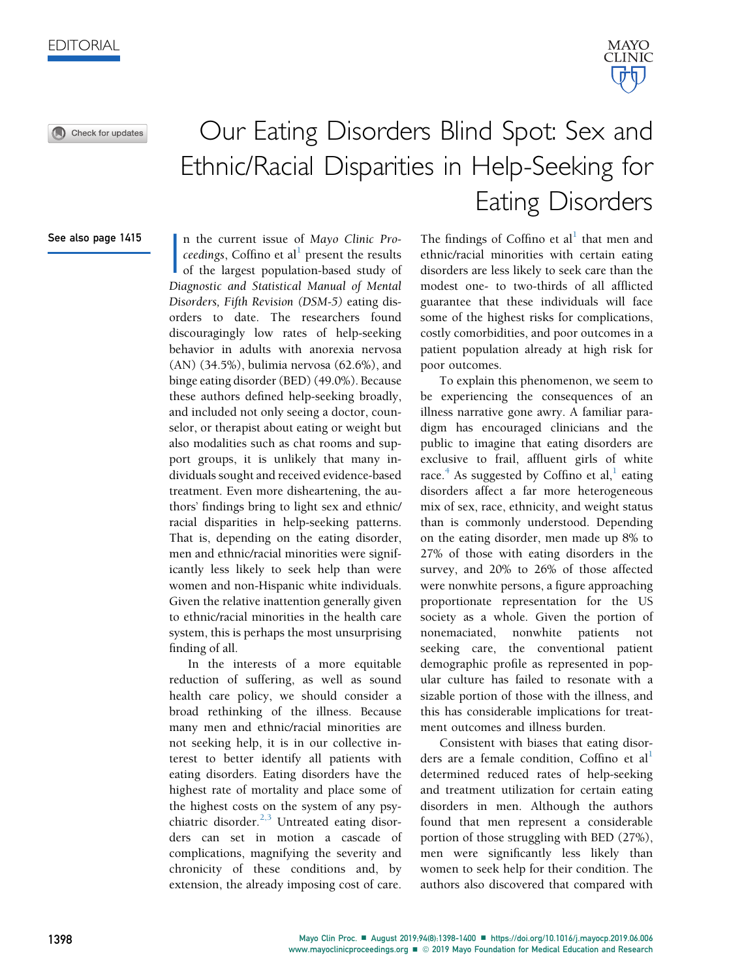O



Our Eating Disorders Blind Spot: Sex and Ethnic/Racial Disparities in Help-Seeking for Eating Disorders

## See also page 1415

Check for updates

 $\overline{\phantom{a}}$ n the current issue of Mayo Clinic Pro $ceedings, Coffino et al<sup>1</sup> present the results$ of the largest population-based study of Diagnostic and Statistical Manual of Mental Disorders, Fifth Revision (DSM-5) eating disorders to date. The researchers found discouragingly low rates of help-seeking behavior in adults with anorexia nervosa (AN) (34.5%), bulimia nervosa (62.6%), and binge eating disorder (BED) (49.0%). Because these authors defined help-seeking broadly, and included not only seeing a doctor, counselor, or therapist about eating or weight but also modalities such as chat rooms and support groups, it is unlikely that many individuals sought and received evidence-based treatment. Even more disheartening, the authors' findings bring to light sex and ethnic/ racial disparities in help-seeking patterns. That is, depending on the eating disorder, men and ethnic/racial minorities were significantly less likely to seek help than were women and non-Hispanic white individuals. Given the relative inattention generally given to ethnic/racial minorities in the health care system, this is perhaps the most unsurprising finding of all.

In the interests of a more equitable reduction of suffering, as well as sound health care policy, we should consider a broad rethinking of the illness. Because many men and ethnic/racial minorities are not seeking help, it is in our collective interest to better identify all patients with eating disorders. Eating disorders have the highest rate of mortality and place some of the highest costs on the system of any psychiatric disorder. $2,3$  Untreated eating disorders can set in motion a cascade of complications, magnifying the severity and chronicity of these conditions and, by extension, the already imposing cost of care.

The findings of Coffino et al<sup>[1](#page-2-0)</sup> that men and ethnic/racial minorities with certain eating disorders are less likely to seek care than the modest one- to two-thirds of all afflicted guarantee that these individuals will face some of the highest risks for complications, costly comorbidities, and poor outcomes in a patient population already at high risk for poor outcomes.

To explain this phenomenon, we seem to be experiencing the consequences of an illness narrative gone awry. A familiar paradigm has encouraged clinicians and the public to imagine that eating disorders are exclusive to frail, affluent girls of white race.<sup>[4](#page-2-0)</sup> As suggested by Coffino et al, $\frac{1}{1}$  eating disorders affect a far more heterogeneous mix of sex, race, ethnicity, and weight status than is commonly understood. Depending on the eating disorder, men made up 8% to 27% of those with eating disorders in the survey, and 20% to 26% of those affected were nonwhite persons, a figure approaching proportionate representation for the US society as a whole. Given the portion of nonemaciated, nonwhite patients not seeking care, the conventional patient demographic profile as represented in popular culture has failed to resonate with a sizable portion of those with the illness, and this has considerable implications for treatment outcomes and illness burden.

Consistent with biases that eating disorders are a female condition, Coffino et  $al<sup>1</sup>$ determined reduced rates of help-seeking and treatment utilization for certain eating disorders in men. Although the authors found that men represent a considerable portion of those struggling with BED (27%), men were significantly less likely than women to seek help for their condition. The authors also discovered that compared with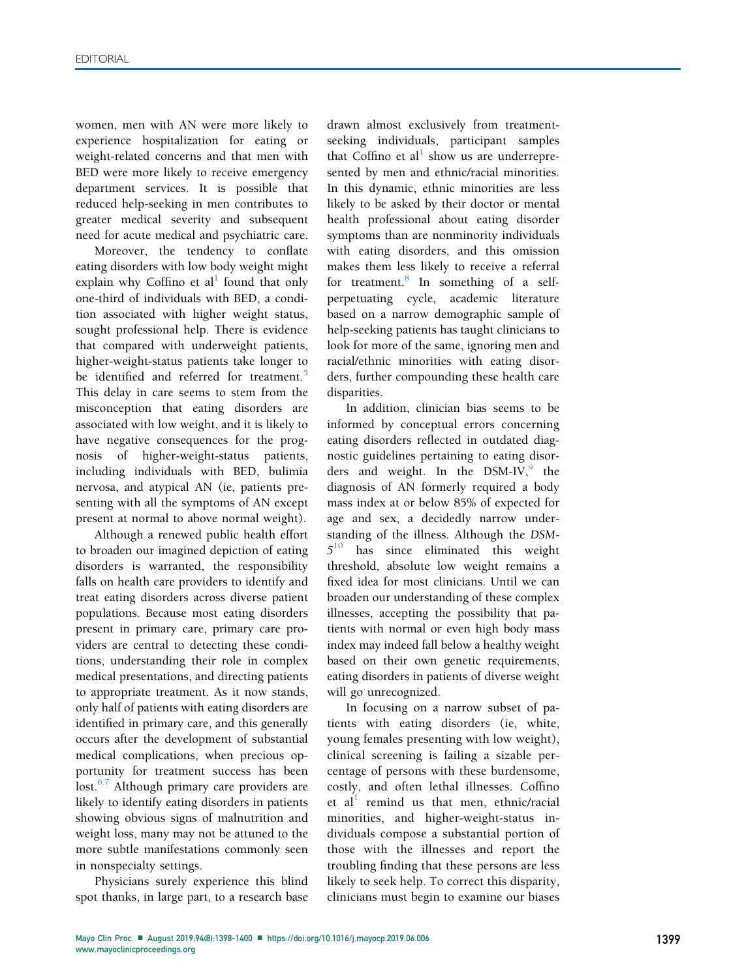women, men with AN were more likely to experience hospitalization for eating or weight-related concerns and that men with BED were more likely to receive emergency department services. It is possible that reduced help-seeking in men contributes to greater medical severity and subsequent need for acute medical and psychiatric care.

Moreover, the tendency to conflate eating disorders with low body weight might explain why Coffino et al<sup>1</sup> found that only one-third of individuals with BED, a condition associated with higher weight status, sought professional help. There is evidence that compared with underweight patients, higher-weight-status patients take longer to be identified and referred for treatment.<sup>[5](#page-2-0)</sup> This delay in care seems to stem from the misconception that eating disorders are associated with low weight, and it is likely to have negative consequences for the prognosis of higher-weight-status patients, including individuals with BED, bulimia nervosa, and atypical AN (ie, patients presenting with all the symptoms of AN except present at normal to above normal weight).

Although a renewed public health effort to broaden our imagined depiction of eating disorders is warranted, the responsibility falls on health care providers to identify and treat eating disorders across diverse patient populations. Because most eating disorders present in primary care, primary care providers are central to detecting these conditions, understanding their role in complex medical presentations, and directing patients to appropriate treatment. As it now stands, only half of patients with eating disorders are identified in primary care, and this generally occurs after the development of substantial medical complications, when precious opportunity for treatment success has been  $\text{lost}$ .<sup>[6,7](#page-2-0)</sup> Although primary care providers are likely to identify eating disorders in patients showing obvious signs of malnutrition and weight loss, many may not be attuned to the more subtle manifestations commonly seen in nonspecialty settings.

Physicians surely experience this blind spot thanks, in large part, to a research base

drawn almost exclusively from treatmentseeking individuals, participant samples that Coffino et al<sup>[1](#page-2-0)</sup> show us are underrepresented by men and ethnic/racial minorities. In this dynamic, ethnic minorities are less likely to be asked by their doctor or mental health professional about eating disorder symptoms than are nonminority individuals with eating disorders, and this omission makes them less likely to receive a referral for treatment. $8$  In something of a selfperpetuating cycle, academic literature based on a narrow demographic sample of help-seeking patients has taught clinicians to look for more of the same, ignoring men and racial/ethnic minorities with eating disorders, further compounding these health care disparities.

In addition, clinician bias seems to be informed by conceptual errors concerning eating disorders reflected in outdated diagnostic guidelines pertaining to eating disorders and weight. In the DSM-IV, $9$  the diagnosis of AN formerly required a body mass index at or below 85% of expected for age and sex, a decidedly narrow understanding of the illness. Although the DSM- $5^{10}$  $5^{10}$  $5^{10}$  has since eliminated this weight threshold, absolute low weight remains a fixed idea for most clinicians. Until we can broaden our understanding of these complex illnesses, accepting the possibility that patients with normal or even high body mass index may indeed fall below a healthy weight based on their own genetic requirements, eating disorders in patients of diverse weight will go unrecognized.

In focusing on a narrow subset of patients with eating disorders (ie, white, young females presenting with low weight), clinical screening is failing a sizable percentage of persons with these burdensome, costly, and often lethal illnesses. Coffino et al<sup>[1](#page-2-0)</sup> remind us that men, ethnic/racial minorities, and higher-weight-status individuals compose a substantial portion of those with the illnesses and report the troubling finding that these persons are less likely to seek help. To correct this disparity, clinicians must begin to examine our biases